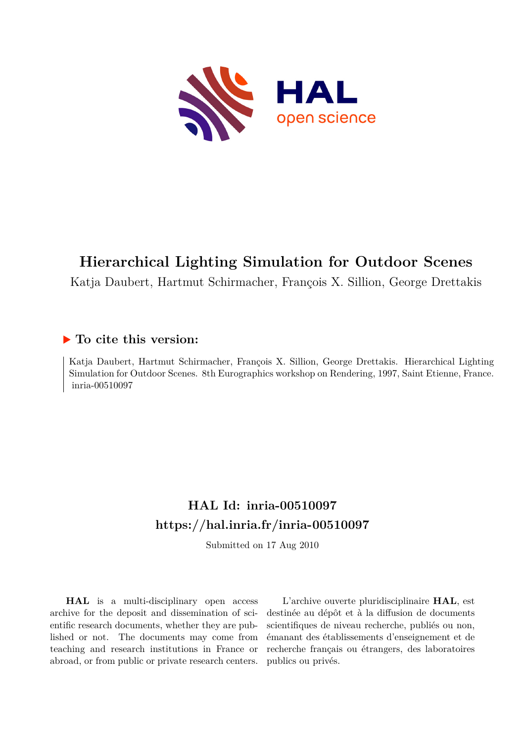

# **Hierarchical Lighting Simulation for Outdoor Scenes**

Katja Daubert, Hartmut Schirmacher, François X. Sillion, George Drettakis

## **To cite this version:**

Katja Daubert, Hartmut Schirmacher, François X. Sillion, George Drettakis. Hierarchical Lighting Simulation for Outdoor Scenes. 8th Eurographics workshop on Rendering, 1997, Saint Etienne, France. inria-00510097

## **HAL Id: inria-00510097 <https://hal.inria.fr/inria-00510097>**

Submitted on 17 Aug 2010

**HAL** is a multi-disciplinary open access archive for the deposit and dissemination of scientific research documents, whether they are published or not. The documents may come from teaching and research institutions in France or abroad, or from public or private research centers.

L'archive ouverte pluridisciplinaire **HAL**, est destinée au dépôt et à la diffusion de documents scientifiques de niveau recherche, publiés ou non, émanant des établissements d'enseignement et de recherche français ou étrangers, des laboratoires publics ou privés.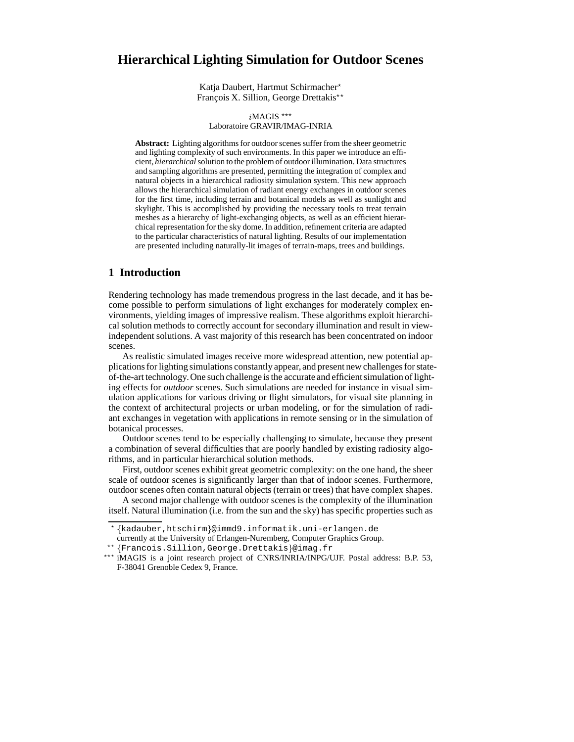## **Hierarchical Lighting Simulation for Outdoor Scenes**

Katja Daubert, Hartmut Schirmacher François X. Sillion, George Drettakis<sup>\*\*</sup>

## $i$ MAGIS \*\*\* Laboratoire GRAVIR/IMAG-INRIA

Abstract: Lighting algorithms for outdoor scenes suffer from the sheer geometric and lighting complexity of such environments. In this paper we introduce an efficient, *hierarchical*solution to the problem of outdoorillumination. Data structures and sampling algorithms are presented, permitting the integration of complex and natural objects in a hierarchical radiosity simulation system. This new approach allows the hierarchical simulation of radiant energy exchanges in outdoor scenes for the first time, including terrain and botanical models as well as sunlight and skylight. This is accomplished by providing the necessary tools to treat terrain meshes as a hierarchy of light-exchanging objects, as well as an efficient hierarchical representation for the sky dome. In addition, refinement criteria are adapted to the particular characteristics of natural lighting. Results of our implementation are presented including naturally-lit images of terrain-maps, trees and buildings.

## **1 Introduction**

Rendering technology has made tremendous progress in the last decade, and it has become possible to perform simulations of light exchanges for moderately complex environments, yielding images of impressive realism. These algorithms exploit hierarchical solution methods to correctly account for secondary illumination and result in viewindependent solutions. A vast majority of this research has been concentrated on indoor scenes.

As realistic simulated images receive more widespread attention, new potential applications for lighting simulations constantly appear, and present new challenges for stateof-the-arttechnology.One such challenge isthe accurate and efficientsimulation oflighting effects for *outdoor* scenes. Such simulations are needed for instance in visual simulation applications for various driving or flight simulators, for visual site planning in the context of architectural projects or urban modeling, or for the simulation of radiant exchanges in vegetation with applications in remote sensing or in the simulation of botanical processes.

Outdoor scenes tend to be especially challenging to simulate, because they present a combination of several difficulties that are poorly handled by existing radiosity algorithms, and in particular hierarchical solution methods.

First, outdoor scenes exhibit great geometric complexity: on the one hand, the sheer scale of outdoor scenes is significantly larger than that of indoor scenes. Furthermore, outdoor scenes often contain natural objects (terrain or trees) that have complex shapes.

A second major challenge with outdoor scenes is the complexity of the illumination itself. Natural illumination (i.e. from the sun and the sky) has specific properties such as

kadauber,htschirm@immd9.informatik.uni-erlangen.de

currently at the University of Erlangen-Nuremberg, Computer Graphics Group.

Francois.Sillion,George.Drettakis@imag.fr

iMAGIS is a joint research project of CNRS/INRIA/INPG/UJF. Postal address: B.P. 53, F-38041 Grenoble Cedex 9, France.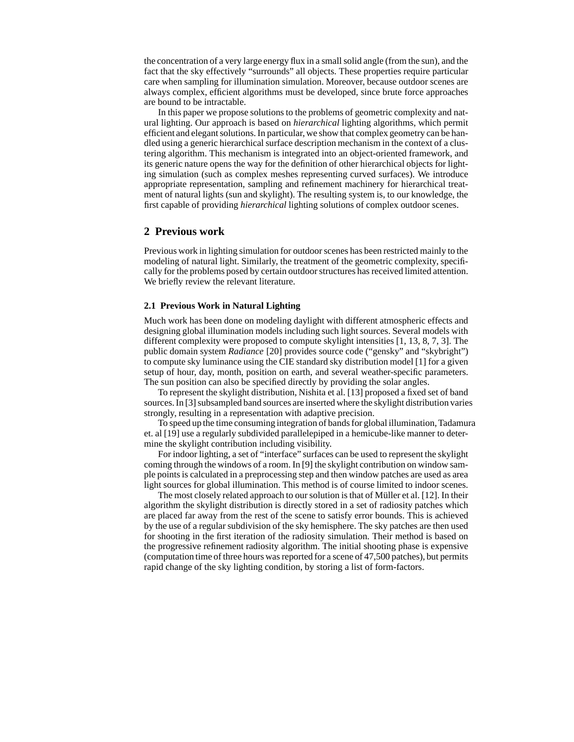the concentration of a very large energy flux in a small solid angle (from the sun), and the fact that the sky effectively "surrounds" all objects. These properties require particular care when sampling for illumination simulation. Moreover, because outdoor scenes are always complex, efficient algorithms must be developed, since brute force approaches are bound to be intractable.

In this paper we propose solutions to the problems of geometric complexity and natural lighting. Our approach is based on *hierarchical* lighting algorithms, which permit efficient and elegant solutions. In particular, we show that complex geometry can be handled using a generic hierarchical surface description mechanism in the context of a clustering algorithm. This mechanism is integrated into an object-oriented framework, and its generic nature opens the way for the definition of other hierarchical objects for lighting simulation (such as complex meshes representing curved surfaces). We introduce appropriate representation, sampling and refinement machinery for hierarchical treatment of natural lights (sun and skylight). The resulting system is, to our knowledge, the first capable of providing *hierarchical* lighting solutions of complex outdoor scenes.

## **2 Previous work**

Previous work in lighting simulation for outdoorscenes has been restricted mainly to the modeling of natural light. Similarly, the treatment of the geometric complexity, specifically for the problems posed by certain outdoorstructures hasreceived limited attention. We briefly review the relevant literature.

#### **2.1 Previous Work in Natural Lighting**

Much work has been done on modeling daylight with different atmospheric effects and designing global illumination models including such light sources. Several models with different complexity were proposed to compute skylight intensities [1, 13, 8, 7, 3]. The public domain system *Radiance* [20] provides source code ("gensky" and "skybright") to compute sky luminance using the CIE standard sky distribution model [1] for a given setup of hour, day, month, position on earth, and several weather-specific parameters. The sun position can also be specified directly by providing the solar angles.

To representthe skylight distribution, Nishita et al. [13] proposed afixed set of band sources. In [3] subsampled band sources are inserted where the skylight distribution varies strongly, resulting in a representation with adaptive precision.

To speed up the time consuming integration of bands for global illumination, Tadamura et. al [19] use a regularly subdivided parallelepiped in a hemicube-like manner to determine the skylight contribution including visibility.

For indoor lighting, a set of "interface" surfaces can be used to represent the skylight coming through the windows of a room. In [9] the skylight contribution on window sample pointsis calculated in a preprocessing step and then window patches are used as area light sources for global illumination. This method is of course limited to indoor scenes.

The most closely related approach to our solution is that of Müller et al. [12]. In their algorithm the skylight distribution is directly stored in a set of radiosity patches which are placed far away from the rest of the scene to satisfy error bounds. This is achieved by the use of a regular subdivision of the sky hemisphere. The sky patches are then used for shooting in the first iteration of the radiosity simulation. Their method is based on the progressive refinement radiosity algorithm. The initial shooting phase is expensive (computation time of three hours wasreported for a scene of 47,500 patches), but permits rapid change of the sky lighting condition, by storing a list of form-factors.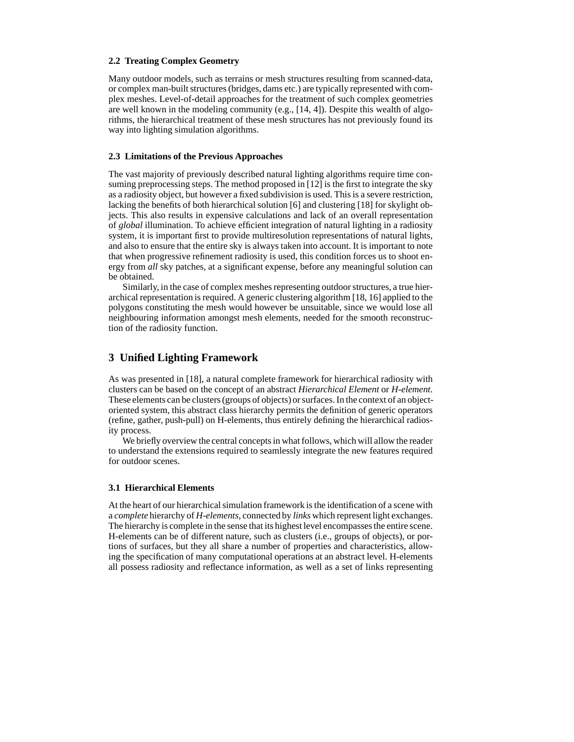## **2.2 Treating Complex Geometry**

Many outdoor models, such as terrains or mesh structures resulting from scanned-data, or complex man-built structures (bridges, dams etc.) are typically represented with complex meshes. Level-of-detail approaches for the treatment of such complex geometries are well known in the modeling community (e.g., [14, 4]). Despite this wealth of algorithms, the hierarchical treatment of these mesh structures has not previously found its way into lighting simulation algorithms.

## **2.3 Limitations of the Previous Approaches**

The vast majority of previously described natural lighting algorithms require time consuming preprocessing steps. The method proposed in [12] is the first to integrate the sky as a radiosity object, but however afixed subdivision is used. Thisis a severe restriction, lacking the benefits of both hierarchical solution [6] and clustering [18] for skylight objects. This also results in expensive calculations and lack of an overall representation of *global* illumination. To achieve efficient integration of natural lighting in a radiosity system, it is important first to provide multiresolution representations of natural lights, and also to ensure that the entire sky is always taken into account. It is important to note that when progressive refinement radiosity is used, this condition forces us to shoot energy from *all* sky patches, at a significant expense, before any meaningful solution can be obtained.

Similarly, in the case of complex meshes representing outdoor structures, a true hierarchical representation is required. A generic clustering algorithm [18, 16] applied to the polygons constituting the mesh would however be unsuitable, since we would lose all neighbouring information amongst mesh elements, needed for the smooth reconstruction of the radiosity function.

## **3 Unified Lighting Framework**

As was presented in [18], a natural complete framework for hierarchical radiosity with clusters can be based on the concept of an abstract *Hierarchical Element* or *H-element*. These elements can be clusters (groups of objects) or surfaces. In the context of an objectoriented system, this abstract class hierarchy permits the definition of generic operators (refine, gather, push-pull) on H-elements, thus entirely defining the hierarchical radiosity process.

We briefly overview the central concepts in what follows, which will allow the reader to understand the extensions required to seamlessly integrate the new features required for outdoor scenes.

#### **3.1 Hierarchical Elements**

At the heart of our hierarchical simulation framework is the identification of a scene with a *complete* hierarchy of *H-elements*, connected by *links* which representlight exchanges. The hierarchy is complete in the sense that its highest level encompasses the entire scene. H-elements can be of different nature, such as clusters (i.e., groups of objects), or portions of surfaces, but they all share a number of properties and characteristics, allowing the specification of many computational operations at an abstract level. H-elements all possess radiosity and reflectance information, as well as a set of links representing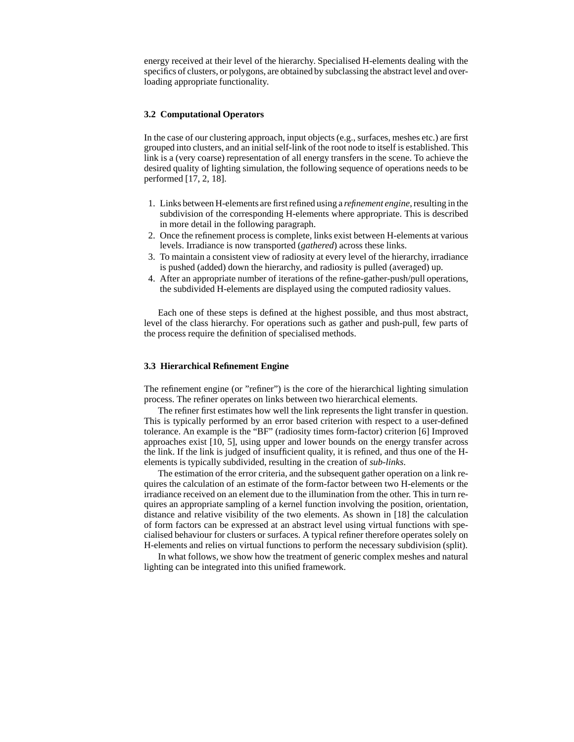energy received at their level of the hierarchy.Specialised H-elements dealing with the specifics of clusters, or polygons, are obtained by subclassing the abstract level and overloading appropriate functionality.

## **3.2 Computational Operators**

In the case of our clustering approach, input objects (e.g., surfaces, meshes etc.) are first grouped into clusters, and an initial self-link of the root node to itself is established. This link is a (very coarse) representation of all energy transfers in the scene. To achieve the desired quality of lighting simulation, the following sequence of operations needs to be performed [17, 2, 18].

- 1. Links between H-elements arefirstrefined using a *refinement engine*,resulting in the subdivision of the corresponding H-elements where appropriate. This is described in more detail in the following paragraph.
- 2. Once the refinement process is complete, links exist between H-elements at various levels. Irradiance is now transported (*gathered*) across these links.
- 3. To maintain a consistent view of radiosity at every level of the hierarchy, irradiance is pushed (added) down the hierarchy, and radiosity is pulled (averaged) up.
- 4. After an appropriate number of iterations of the refine-gather-push/pull operations, the subdivided H-elements are displayed using the computed radiosity values.

Each one of these steps is defined at the highest possible, and thus most abstract, level of the class hierarchy. For operations such as gather and push-pull, few parts of the process require the definition of specialised methods.

## **3.3 Hierarchical Refinement Engine**

The refinement engine (or "refiner") is the core of the hierarchical lighting simulation process. The refiner operates on links between two hierarchical elements.

The refiner first estimates how well the link represents the light transfer in question. This is typically performed by an error based criterion with respect to a user-defined tolerance. An example is the "BF" (radiosity times form-factor) criterion [6] Improved approaches exist [10, 5], using upper and lower bounds on the energy transfer across the link. If the link is judged of insufficient quality, it is refined, and thus one of the Helements is typically subdivided, resulting in the creation of *sub-links*.

The estimation of the error criteria, and the subsequent gather operation on a link requires the calculation of an estimate of the form-factor between two H-elements or the irradiance received on an element due to the illumination from the other. This in turn requires an appropriate sampling of a kernel function involving the position, orientation, distance and relative visibility of the two elements. As shown in [18] the calculation of form factors can be expressed at an abstract level using virtual functions with specialised behaviour for clusters or surfaces. A typical refiner therefore operates solely on H-elements and relies on virtual functions to perform the necessary subdivision (split).

In what follows, we show how the treatment of generic complex meshes and natural lighting can be integrated into this unified framework.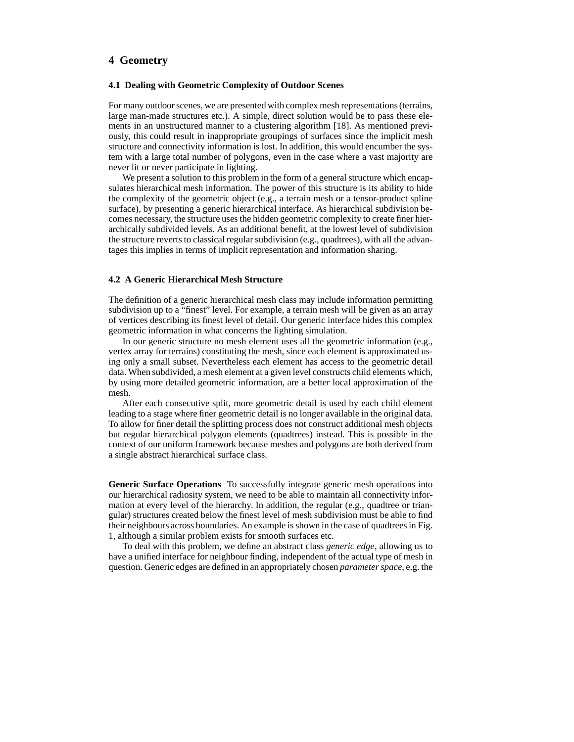## **4 Geometry**

#### **4.1 Dealing with Geometric Complexity of Outdoor Scenes**

For many outdoor scenes, we are presented with complex mesh representations (terrains, large man-made structures etc.). A simple, direct solution would be to pass these elements in an unstructured manner to a clustering algorithm [18]. As mentioned previously, this could result in inappropriate groupings of surfaces since the implicit mesh structure and connectivity information is lost. In addition, this would encumber the system with a large total number of polygons, even in the case where a vast majority are never lit or never participate in lighting.

We present a solution to this problem in the form of a general structure which encapsulates hierarchical mesh information. The power of this structure is its ability to hide the complexity of the geometric object (e.g., a terrain mesh or a tensor-product spline surface), by presenting a generic hierarchical interface. As hierarchical subdivision becomes necessary, the structure uses the hidden geometric complexity to create finer hierarchically subdivided levels. As an additional benefit, at the lowest level of subdivision the structure reverts to classical regular subdivision (e.g., quadtrees), with all the advantages this implies in terms of implicit representation and information sharing.

## **4.2 A Generic Hierarchical Mesh Structure**

The definition of a generic hierarchical mesh class may include information permitting subdivision up to a "finest" level. For example, a terrain mesh will be given as an array of vertices describing its finest level of detail. Our generic interface hides this complex geometric information in what concerns the lighting simulation.

In our generic structure no mesh element uses all the geometric information (e.g., vertex array for terrains) constituting the mesh, since each element is approximated using only a small subset. Nevertheless each element has access to the geometric detail data. When subdivided, a mesh element at a given level constructs child elements which, by using more detailed geometric information, are a better local approximation of the mesh.

After each consecutive split, more geometric detail is used by each child element leading to a stage where finer geometric detail is no longer available in the original data. To allow for finer detail the splitting process does not construct additional mesh objects but regular hierarchical polygon elements (quadtrees) instead. This is possible in the context of our uniform framework because meshes and polygons are both derived from a single abstract hierarchical surface class.

**Generic Surface Operations** To successfully integrate generic mesh operations into our hierarchical radiosity system, we need to be able to maintain all connectivity information at every level of the hierarchy. In addition, the regular (e.g., quadtree or triangular) structures created below the finest level of mesh subdivision must be able to find their neighbours across boundaries. An example is shown in the case of quadtrees in Fig. 1, although a similar problem exists for smooth surfaces etc.

To deal with this problem, we define an abstract class *generic edge*, allowing us to have a unified interface for neighbour finding, independent of the actual type of mesh in question. Generic edges are defined in an appropriately chosen *parameter space*, e.g. the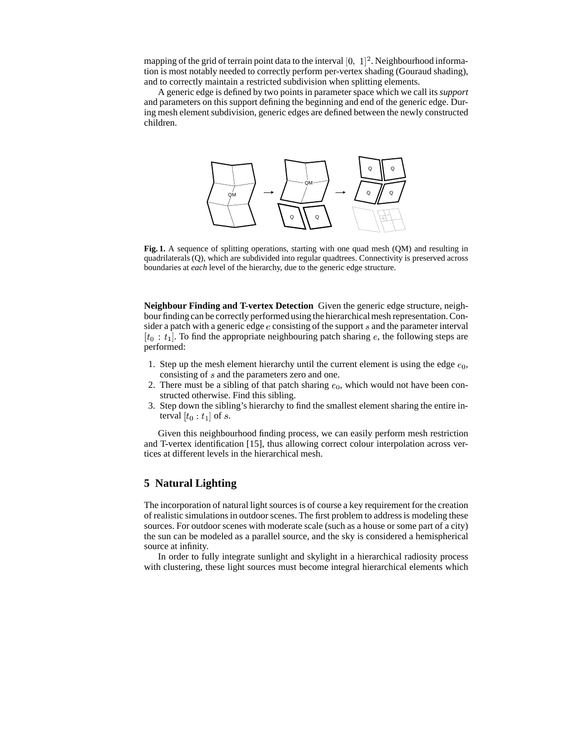mapping of the grid of terrain point data to the interval  $[0, 1]^2$ . Neighbourhood information is most notably needed to correctly perform per-vertex shading (Gouraud shading), and to correctly maintain a restricted subdivision when splitting elements.

A generic edge is defined by two points in parameter space which we call its *support* and parameters on this support defining the beginning and end of the generic edge. During mesh element subdivision, generic edges are defined between the newly constructed children.



**Fig. 1.** A sequence of splitting operations, starting with one quad mesh (QM) and resulting in quadrilaterals (Q), which are subdivided into regular quadtrees. Connectivity is preserved across boundaries at *each* level of the hierarchy, due to the generic edge structure.

**Neighbour Finding and T-vertex Detection** Given the generic edge structure, neighbour finding can be correctly performed using the hierarchical mesh representation. Consider a patch with a generic edge  $e$  consisting of the support  $s$  and the parameter interval  $[t_0 : t_1]$ . To find the appropriate neighbouring patch sharing e, the following steps are performed:

- 1. Step up the mesh element hierarchy until the current element is using the edge  $e_0$ , consisting of s and the parameters zero and one.
- 2. There must be a sibling of that patch sharing  $\epsilon_0$ , which would not have been constructed otherwise. Find this sibling.
- 3. Step down the sibling's hierarchy to find the smallest element sharing the entire interval  $[t_0 : t_1]$  of s.

Given this neighbourhood finding process, we can easily perform mesh restriction and T-vertex identification [15], thus allowing correct colour interpolation across vertices at different levels in the hierarchical mesh.

## **5 Natural Lighting**

The incorporation of natural light sources is of course a key requirement for the creation of realistic simulations in outdoor scenes. The first problem to address is modeling these sources.For outdoor scenes with moderate scale (such as a house or some part of a city) the sun can be modeled as a parallel source, and the sky is considered a hemispherical source at infinity.

In order to fully integrate sunlight and skylight in a hierarchical radiosity process with clustering, these light sources must become integral hierarchical elements which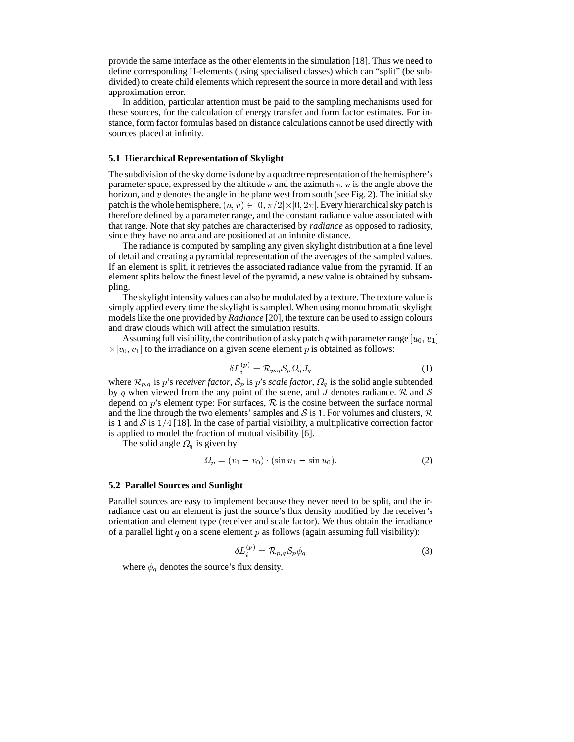provide the same interface as the other elements in the simulation [18]. Thus we need to define corresponding H-elements (using specialised classes) which can "split" (be subdivided) to create child elements which represent the source in more detail and with less approximation error.

In addition, particular attention must be paid to the sampling mechanisms used for these sources, for the calculation of energy transfer and form factor estimates. For instance, form factor formulas based on distance calculations cannot be used directly with sources placed at infinity.

#### **5.1 Hierarchical Representation of Skylight**

The subdivision of the sky dome is done by a quadtree representation of the hemisphere's parameter space, expressed by the altitude  $u$  and the azimuth  $v$ .  $u$  is the angle above the horizon, and  $\nu$  denotes the angle in the plane west from south (see Fig. 2). The initial sky patch is the whole hemisphere,  $(u, v) \in [0, \pi/2] \times [0, 2\pi]$ . Every hierarchical sky patch is therefore defined by a parameter range, and the constant radiance value associated with that range. Note that sky patches are characterised by *radiance* as opposed to radiosity, since they have no area and are positioned at an infinite distance.

The radiance is computed by sampling any given skylight distribution at a fine level of detail and creating a pyramidal representation of the averages of the sampled values. If an element is split, it retrieves the associated radiance value from the pyramid. If an element splits below the finest level of the pyramid, a new value is obtained by subsampling.

The skylight intensity values can also be modulated by a texture. The texture value is simply applied every time the skylight is sampled. When using monochromatic skylight models like the one provided by *Radiance* [20], the texture can be used to assign colours and draw clouds which will affect the simulation results.

Assuming full visibility, the contribution of a sky patch q with parameter range  $[u_0, u_1]$  $\times [v_0, v_1]$  to the irradiance on a given scene element p is obtained as follows:

$$
\delta L_i^{(p)} = \mathcal{R}_{p,q} \mathcal{S}_p \Omega_q J_q \tag{1}
$$

where  $\mathcal{R}_{p,q}$  is p's *receiver factor*,  $\mathcal{S}_p$  is p's *scale factor*,  $\Omega_q$  is the solid angle subtended by q when viewed from the any point of the scene, and  $\hat{J}$  denotes radiance.  $\hat{R}$  and  $\hat{S}$ depend on p's element type: For surfaces,  $R$  is the cosine between the surface normal and the line through the two elements' samples and  $S$  is 1. For volumes and clusters,  $\mathcal R$ is 1 and  $S$  is  $1/4$  [18]. In the case of partial visibility, a multiplicative correction factor is applied to model the fraction of mutual visibility [6].

The solid angle  $\Omega_q$  is given by

$$
\Omega_p = (v_1 - v_0) \cdot (\sin u_1 - \sin u_0). \tag{2}
$$

#### **5.2 Parallel Sources and Sunlight**

Parallel sources are easy to implement because they never need to be split, and the irradiance cast on an element is just the source's flux density modified by the receiver's orientation and element type (receiver and scale factor). We thus obtain the irradiance of a parallel light q on a scene element p as follows (again assuming full visibility):

$$
\delta L_i^{(p)} = \mathcal{R}_{p,q} \mathcal{S}_p \phi_q \tag{3}
$$

where  $\phi_q$  denotes the source's flux density.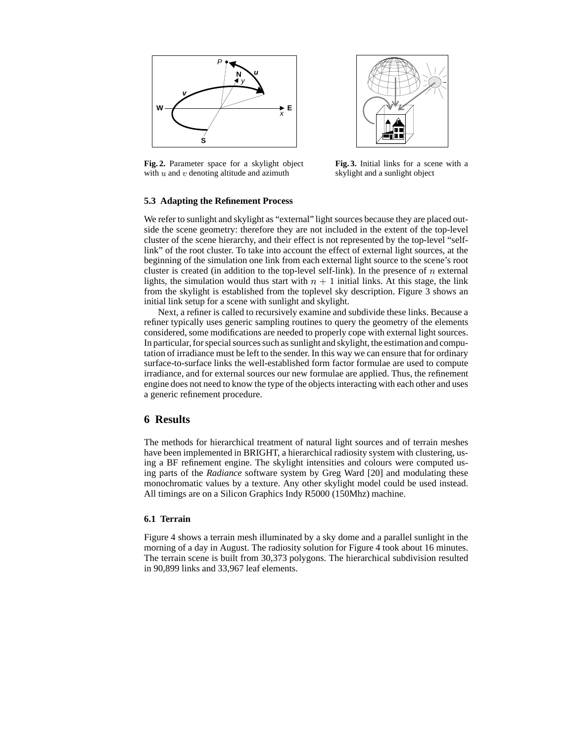



**Fig. 2.** Parameter space for a skylight object with  $u$  and  $v$  denoting altitude and azimuth

**Fig. 3.** Initial links for a scene with a skylight and a sunlight object

## **5.3 Adapting the Refinement Process**

We refer to sunlight and skylight as "external" light sources because they are placed outside the scene geometry: therefore they are not included in the extent of the top-level cluster of the scene hierarchy, and their effect is not represented by the top-level "selflink" of the root cluster. To take into account the effect of external light sources, at the beginning of the simulation one link from each external light source to the scene's root cluster is created (in addition to the top-level self-link). In the presence of  $n$  external lights, the simulation would thus start with  $n + 1$  initial links. At this stage, the link from the skylight is established from the toplevel sky description. Figure 3 shows an initial link setup for a scene with sunlight and skylight.

Next, a refiner is called to recursively examine and subdivide these links. Because a refiner typically uses generic sampling routines to query the geometry of the elements considered, some modifications are needed to properly cope with external light sources. In particular, for special sources such as sunlight and skylight, the estimation and computation of irradiance must be leftto the sender. In this way we can ensure that for ordinary surface-to-surface links the well-established form factor formulae are used to compute irradiance, and for external sources our new formulae are applied. Thus, the refinement engine does not need to know the type of the objects interacting with each other and uses a generic refinement procedure.

## **6 Results**

The methods for hierarchical treatment of natural light sources and of terrain meshes have been implemented in BRIGHT, a hierarchical radiosity system with clustering, using a BF refinement engine. The skylight intensities and colours were computed using parts of the *Radiance* software system by Greg Ward [20] and modulating these monochromatic values by a texture. Any other skylight model could be used instead. All timings are on a Silicon Graphics Indy R5000 (150Mhz) machine.

#### **6.1 Terrain**

Figure 4 shows a terrain mesh illuminated by a sky dome and a parallel sunlight in the morning of a day in August. The radiosity solution for Figure 4 took about 16 minutes. The terrain scene is built from 30,373 polygons. The hierarchical subdivision resulted in 90,899 links and 33,967 leaf elements.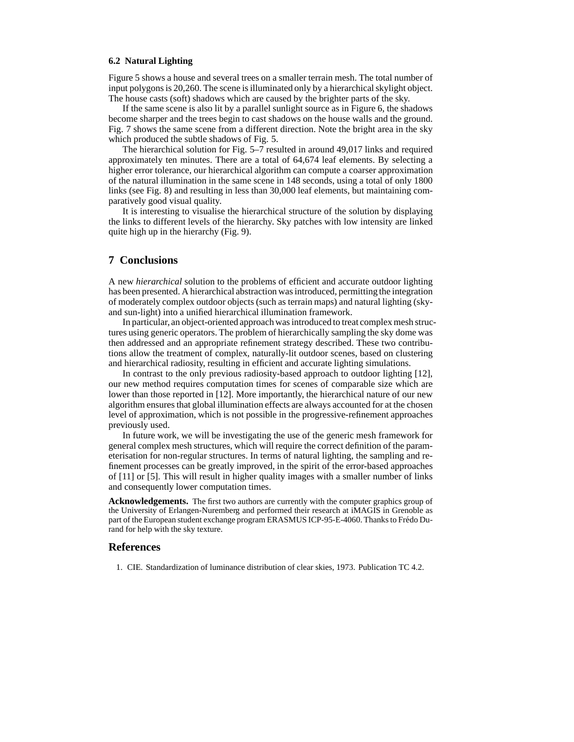#### **6.2 Natural Lighting**

Figure 5 shows a house and several trees on a smaller terrain mesh. The total number of input polygons is 20,260. The scene is illuminated only by a hierarchical skylight object. The house casts (soft) shadows which are caused by the brighter parts of the sky.

If the same scene is also lit by a parallel sunlight source as in Figure 6, the shadows become sharper and the trees begin to cast shadows on the house walls and the ground. Fig. 7 shows the same scene from a different direction. Note the bright area in the sky which produced the subtle shadows of Fig. 5.

The hierarchical solution for Fig. 5–7 resulted in around 49,017 links and required approximately ten minutes. There are a total of 64,674 leaf elements. By selecting a higher error tolerance, our hierarchical algorithm can compute a coarser approximation of the natural illumination in the same scene in 148 seconds, using a total of only 1800 links (see Fig. 8) and resulting in less than 30,000 leaf elements, but maintaining comparatively good visual quality.

It is interesting to visualise the hierarchical structure of the solution by displaying the links to different levels of the hierarchy. Sky patches with low intensity are linked quite high up in the hierarchy (Fig. 9).

## **7 Conclusions**

A new *hierarchical* solution to the problems of efficient and accurate outdoor lighting has been presented. A hierarchical abstraction wasintroduced, permitting the integration of moderately complex outdoor objects (such as terrain maps) and natural lighting (skyand sun-light) into a unified hierarchical illumination framework.

In particular, an object-oriented approach wasintroduced to treat complex mesh structures using generic operators. The problem of hierarchically sampling the sky dome was then addressed and an appropriate refinement strategy described. These two contributions allow the treatment of complex, naturally-lit outdoor scenes, based on clustering and hierarchical radiosity, resulting in efficient and accurate lighting simulations.

In contrast to the only previous radiosity-based approach to outdoor lighting [12], our new method requires computation times for scenes of comparable size which are lower than those reported in [12]. More importantly, the hierarchical nature of our new algorithm ensures that global illumination effects are always accounted for at the chosen level of approximation, which is not possible in the progressive-refinement approaches previously used.

In future work, we will be investigating the use of the generic mesh framework for general complex mesh structures, which will require the correct definition of the parameterisation for non-regular structures. In terms of natural lighting, the sampling and refinement processes can be greatly improved, in the spirit of the error-based approaches of [11] or [5]. This will result in higher quality images with a smaller number of links and consequently lower computation times.

**Acknowledgements.** The first two authors are currently with the computer graphics group of the University of Erlangen-Nuremberg and performed their research at iMAGIS in Grenoble as part of the European student exchange program ERASMUS ICP-95-E-4060. Thanks to Frédo Durand for help with the sky texture.

## **References**

1. CIE. Standardization of luminance distribution of clear skies, 1973. Publication TC 4.2.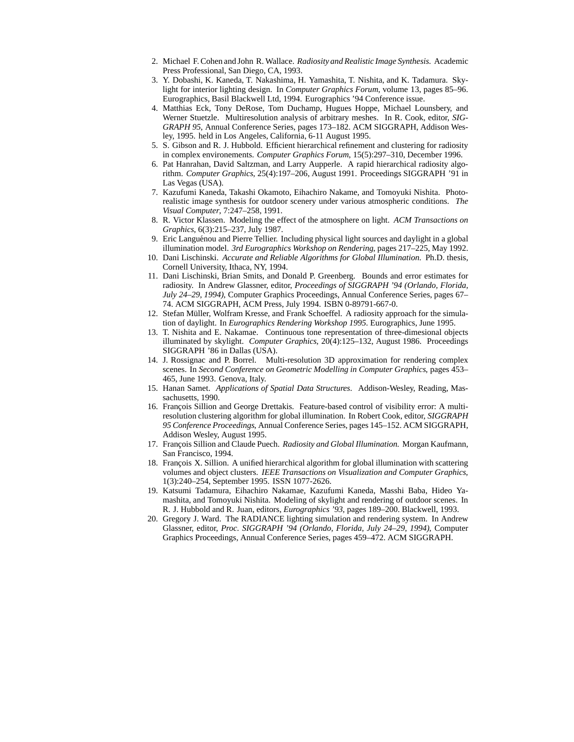- 2. Michael F.Cohen and John R. Wallace. *Radiosity and Realistic Image Synthesis*. Academic Press Professional, San Diego, CA, 1993.
- 3. Y. Dobashi, K. Kaneda, T. Nakashima, H. Yamashita, T. Nishita, and K. Tadamura. Skylight for interior lighting design. In *Computer Graphics Forum*, volume 13, pages 85–96. Eurographics, Basil Blackwell Ltd, 1994. Eurographics '94 Conference issue.
- 4. Matthias Eck, Tony DeRose, Tom Duchamp, Hugues Hoppe, Michael Lounsbery, and Werner Stuetzle. Multiresolution analysis of arbitrary meshes. In R. Cook, editor, *SIG-GRAPH 95*, Annual Conference Series, pages 173–182. ACM SIGGRAPH, Addison Wesley, 1995. held in Los Angeles, California, 6-11 August 1995.
- 5. S. Gibson and R. J. Hubbold. Efficient hierarchical refinement and clustering for radiosity in complex environements. *Computer Graphics Forum*, 15(5):297–310, December 1996.
- 6. Pat Hanrahan, David Saltzman, and Larry Aupperle. A rapid hierarchical radiosity algorithm. *Computer Graphics*, 25(4):197–206, August 1991. Proceedings SIGGRAPH '91 in Las Vegas (USA).
- 7. Kazufumi Kaneda, Takashi Okamoto, Eihachiro Nakame, and Tomoyuki Nishita. Photorealistic image synthesis for outdoor scenery under various atmospheric conditions. *The Visual Computer*, 7:247–258, 1991.
- 8. R. Victor Klassen. Modeling the effect of the atmosphere on light. *ACM Transactions on Graphics*, 6(3):215–237, July 1987.
- 9. Eric Languénou and Pierre Tellier. Including physical light sources and daylight in a global illumination model. *3rd Eurographics Workshop on Rendering*, pages 217–225, May 1992.
- 10. Dani Lischinski. *Accurate and Reliable Algorithms for Global Illumination*. Ph.D. thesis, Cornell University, Ithaca, NY, 1994.
- 11. Dani Lischinski, Brian Smits, and Donald P. Greenberg. Bounds and error estimates for radiosity. In Andrew Glassner, editor, *Proceedings of SIGGRAPH '94 (Orlando, Florida, July 24–29, 1994)*, Computer Graphics Proceedings, Annual Conference Series, pages 67– 74. ACM SIGGRAPH, ACM Press, July 1994. ISBN 0-89791-667-0.
- 12. Stefan Müller, Wolfram Kresse, and Frank Schoeffel. A radiosity approach for the simulation of daylight. In *Eurographics Rendering Workshop 1995*. Eurographics, June 1995.
- 13. T. Nishita and E. Nakamae. Continuous tone representation of three-dimesional objects illuminated by skylight. *Computer Graphics*, 20(4):125–132, August 1986. Proceedings SIGGRAPH '86 in Dallas (USA).
- 14. J. Rossignac and P. Borrel. Multi-resolution 3D approximation for rendering complex scenes. In *Second Conference on Geometric Modelling in Computer Graphics*, pages 453– 465, June 1993. Genova, Italy.
- 15. Hanan Samet. *Applications of Spatial Data Structures*. Addison-Wesley, Reading, Massachusetts, 1990.
- 16. François Sillion and George Drettakis. Feature-based control of visibility error: A multiresolution clustering algorithm for global illumination. In Robert Cook, editor, *SIGGRAPH 95 Conference Proceedings*, Annual Conference Series, pages 145–152. ACM SIGGRAPH, Addison Wesley, August 1995.
- 17. François Sillion and Claude Puech. *Radiosity and Global Illumination*. Morgan Kaufmann, San Francisco, 1994.
- 18. François X. Sillion. A unified hierarchical algorithm for global illumination with scattering volumes and object clusters. *IEEE Transactions on Visualization and Computer Graphics*, 1(3):240–254, September 1995. ISSN 1077-2626.
- 19. Katsumi Tadamura, Eihachiro Nakamae, Kazufumi Kaneda, Masshi Baba, Hideo Yamashita, and Tomoyuki Nishita. Modeling of skylight and rendering of outdoor scenes. In R. J. Hubbold and R. Juan, editors, *Eurographics '93*, pages 189–200. Blackwell, 1993.
- 20. Gregory J. Ward. The RADIANCE lighting simulation and rendering system. In Andrew Glassner, editor, *Proc. SIGGRAPH '94 (Orlando, Florida, July 24–29, 1994)*, Computer Graphics Proceedings, Annual Conference Series, pages 459–472. ACM SIGGRAPH.